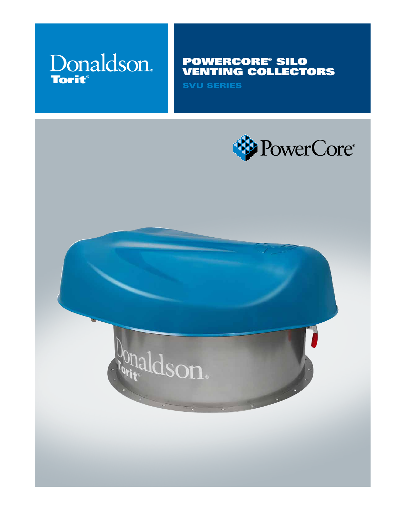# Donaldson. **Torit®**

# POWERCORE® SILO VENTING COLLECTORS

SVU SERIES



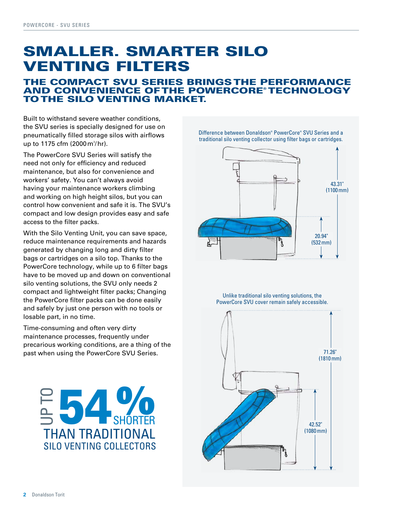# SMALLER. SMARTER SILO VENTING FILTERS

## THE COMPACT SVU SERIES BRINGS THE PERFORMANCE AND CONVENIENCE OF THE POWERCORE® TECHNOLOGY TO THE SILO VENTING MARKET.

Built to withstand severe weather conditions, the SVU series is specially designed for use on pneumatically filled storage silos with airflows up to 1175 cfm (2000 m<sup>3</sup>/hr).

The PowerCore SVU Series will satisfy the need not only for efficiency and reduced maintenance, but also for convenience and workers' safety. You can't always avoid having your maintenance workers climbing and working on high height silos, but you can control how convenient and safe it is. The SVU's compact and low design provides easy and safe access to the filter packs.

With the Silo Venting Unit, you can save space, reduce maintenance requirements and hazards generated by changing long and dirty filter bags or cartridges on a silo top. Thanks to the PowerCore technology, while up to 6 filter bags have to be moved up and down on conventional silo venting solutions, the SVU only needs 2 compact and lightweight filter packs; Changing the PowerCore filter packs can be done easily and safely by just one person with no tools or losable part, in no time.

Time-consuming and often very dirty maintenance processes, frequently under precarious working conditions, are a thing of the past when using the PowerCore SVU Series.



Difference between Donaldson® PowerCore® SVU Series and a traditional silo venting collector using filter bags or cartridges.



Unlike traditional silo venting solutions, the PowerCore SVU cover remain safely accessible.

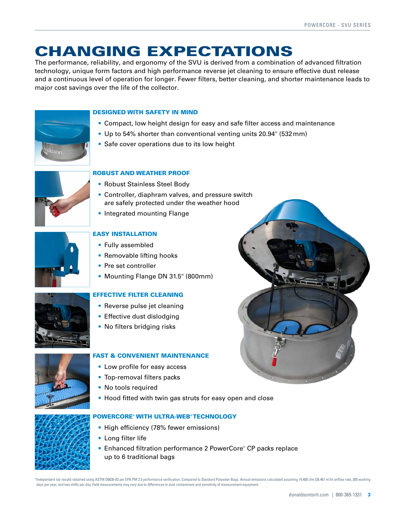# CHANGING EXPECTATIONS

The performance, reliability, and ergonomy of the SVU is derived from a combination of advanced filtration technology, unique form factors and high performance reverse jet cleaning to ensure effective dust release and a continuous level of operation for longer. Fewer filters, better cleaning, and shorter maintenance leads to major cost savings over the life of the collector.



#### DESIGNED WITH SAFETY IN MIND

- Compact, low height design for easy and safe filter access and maintenance
- Up to 54% shorter than conventional venting units 20.94" (532mm)
- Safe cover operations due to its low height



### ROBUST AND WEATHER PROOF

- Robust Stainless Steel Body
- Controller, diaphram valves, and pressure switch are safely protected under the weather hood
- Integrated mounting Flange



## EASY INSTALLATION

- Fully assembled
- Removable lifting hooks
- Pre set controller
- Mounting Flange DN 31.5" (800mm)

#### EFFECTIVE FILTER CLEANING

- Reverse pulse jet cleaning
- Effective dust dislodging
- No filters bridging risks

#### FAST & CONVENIENT MAINTENANCE

- Low profile for easy access
- Top-removal filters packs
- No tools required
- Hood fitted with twin gas struts for easy open and close



#### POWERCORE® WITH ULTRA-WEB® TECHNOLOGY

- High efficiency (78% fewer emissions)
- Long filter life
- Enhanced filtration performance 2 PowerCore® CP packs replace up to 6 traditional bags

\*Independent lab results obtained using ASTM D6830-02 per EPA PM 2.5 performance verification. Compared to Standard Polyester Bags. Annual emissions calculated assuming 14,400 cfm (26.461 m3 /h) airflow rate, 265 working days per year, and two shifts per day. Field measurements may vary due to differences in dust contaminant and sensitivity of measurement equipment.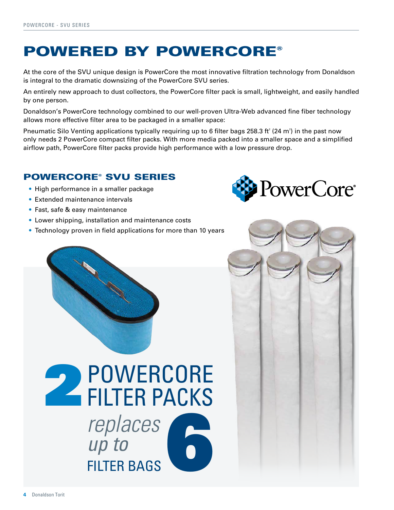# POWERED BY POWERCORE®

At the core of the SVU unique design is PowerCore the most innovative filtration technology from Donaldson is integral to the dramatic downsizing of the PowerCore SVU series.

An entirely new approach to dust collectors, the PowerCore filter pack is small, lightweight, and easily handled by one person.

Donaldson's PowerCore technology combined to our well-proven Ultra-Web advanced fine fiber technology allows more effective filter area to be packaged in a smaller space:

Pneumatic Silo Venting applications typically requiring up to 6 filter bags 258.3 ft $^{\circ}$  (24 m $^{\circ}$ ) in the past now only needs 2 PowerCore compact filter packs. With more media packed into a smaller space and a simplified airflow path, PowerCore filter packs provide high performance with a low pressure drop.

## POWERCORE® SVU SERIES

- High performance in a smaller package
- Extended maintenance intervals
- Fast, safe & easy maintenance
- Lower shipping, installation and maintenance costs
- Technology proven in field applications for more than 10 years



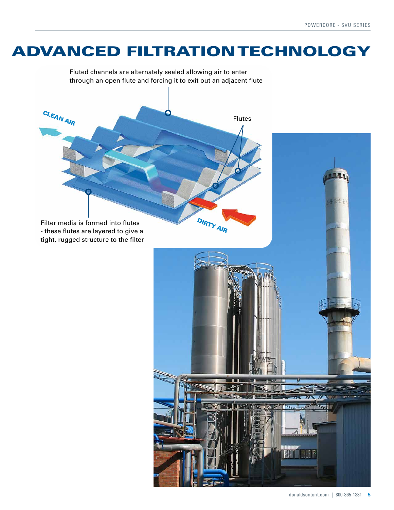# ADVANCED FILTRATION TECHNOLOGY

Fluted channels are alternately sealed allowing air to enter through an open flute and forcing it to exit out an adjacent flute Filter media is formed into flutes - these flutes are layered to give a tight, rugged structure to the filter Flutes DIRTY AIR CLEAN AIR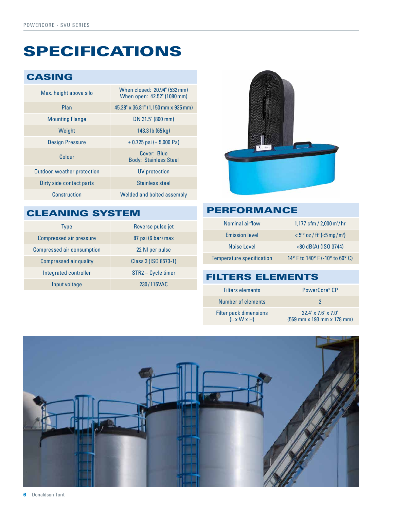# SPECIFICATIONS

## CASING

| Max. height above silo             | When closed: 20.94" (532 mm)<br>When open: 42.52" (1080 mm) |
|------------------------------------|-------------------------------------------------------------|
| Plan                               | 45.28" x 36.81" (1,150 mm x 935 mm)                         |
| <b>Mounting Flange</b>             | DN 31.5" (800 mm)                                           |
| Weight                             | 143.3 lb $(65 \text{ kg})$                                  |
| <b>Design Pressure</b>             | $\pm$ 0.725 psi ( $\pm$ 5,000 Pa)                           |
| Colour                             | Cover: Blue<br><b>Body: Stainless Steel</b>                 |
| <b>Outdoor, weather protection</b> | <b>UV</b> protection                                        |
| Dirty side contact parts           | Stainless steel                                             |
| Construction                       | Welded and bolted assembly                                  |

# CLEANING SYSTEM

| <b>Type</b>                       | Reverse pulse jet    |
|-----------------------------------|----------------------|
| <b>Compressed air pressure</b>    | 87 psi (6 bar) max   |
| <b>Compressed air consumption</b> | 22 NI per pulse      |
| <b>Compressed air quality</b>     | Class 3 (ISO 8573-1) |
| Integrated controller             | STR2 - Cycle timer   |
| Input voltage                     | 230/115VAC           |



## PERFORMANCE

| Nominal airflow                  | 1,177 cfm / $2,000 \,\mathrm{m}^3/\mathrm{hr}$           |
|----------------------------------|----------------------------------------------------------|
| <b>Emission level</b>            | $< 5^{(6)}$ oz / ft <sup>3</sup> (<5 mg/m <sup>3</sup> ) |
| Noise Level                      | $<$ 80 dB(A) (ISO 3744)                                  |
| <b>Temperature specification</b> | 14° F to 140° F (-10° to 60° C)                          |

# FILTERS ELEMENTS

| <b>Filters elements</b>                           | PowerCore® CP                                                                                  |
|---------------------------------------------------|------------------------------------------------------------------------------------------------|
| Number of elements                                |                                                                                                |
| Filter pack dimensions<br>$(L \times W \times H)$ | $22.4$ " x $7.6$ " x $7.0$ "<br>$(569 \text{ mm} \times 193 \text{ mm} \times 178 \text{ mm})$ |

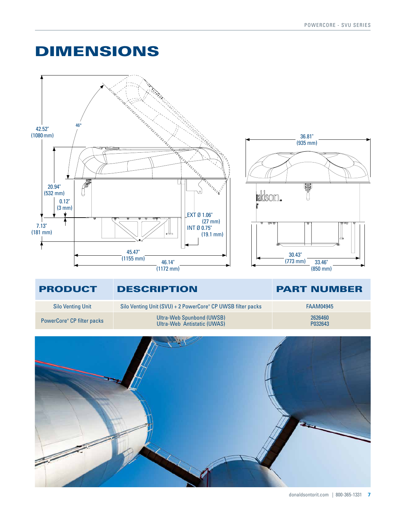# DIMENSIONS



## PRODUCT DESCRIPTION PART NUMBER

Silo Venting Unit **Silo Venting Unit (SVU) + 2 PowerCore®** CP UWSB filter packs FAAM04945

PowerCore<sup>®</sup> CP filter packs

Ultra-Web Spunbond (UWSB) Ultra-Web Antistatic (UWAS)

2626460

P032643